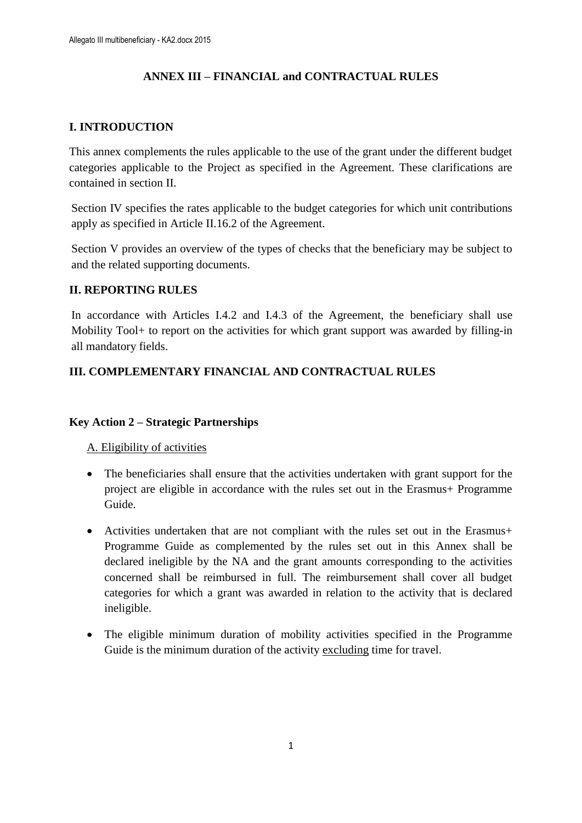## **ANNEX III – FINANCIAL and CONTRACTUAL RULES**

## **I. INTRODUCTION**

This annex complements the rules applicable to the use of the grant under the different budget categories applicable to the Project as specified in the Agreement. These clarifications are contained in section II.

Section IV specifies the rates applicable to the budget categories for which unit contributions apply as specified in Article II.16.2 of the Agreement.

Section V provides an overview of the types of checks that the beneficiary may be subject to and the related supporting documents.

### **II. REPORTING RULES**

In accordance with Articles I.4.2 and I.4.3 of the Agreement, the beneficiary shall use Mobility Tool+ to report on the activities for which grant support was awarded by filling-in all mandatory fields.

## **III. COMPLEMENTARY FINANCIAL AND CONTRACTUAL RULES**

#### **Key Action 2 – Strategic Partnerships**

A. Eligibility of activities

- The beneficiaries shall ensure that the activities undertaken with grant support for the project are eligible in accordance with the rules set out in the Erasmus+ Programme Guide.
- Activities undertaken that are not compliant with the rules set out in the Erasmus+ Programme Guide as complemented by the rules set out in this Annex shall be declared ineligible by the NA and the grant amounts corresponding to the activities concerned shall be reimbursed in full. The reimbursement shall cover all budget categories for which a grant was awarded in relation to the activity that is declared ineligible.
- The eligible minimum duration of mobility activities specified in the Programme Guide is the minimum duration of the activity excluding time for travel.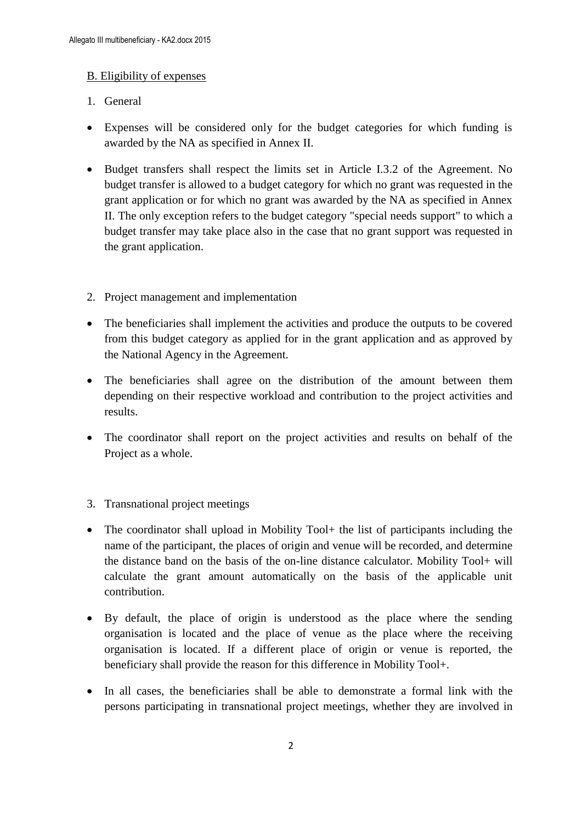### B. Eligibility of expenses

- 1. General
- Expenses will be considered only for the budget categories for which funding is awarded by the NA as specified in Annex II.
- Budget transfers shall respect the limits set in Article I.3.2 of the Agreement. No budget transfer is allowed to a budget category for which no grant was requested in the grant application or for which no grant was awarded by the NA as specified in Annex II. The only exception refers to the budget category "special needs support" to which a budget transfer may take place also in the case that no grant support was requested in the grant application.
- 2. Project management and implementation
- The beneficiaries shall implement the activities and produce the outputs to be covered from this budget category as applied for in the grant application and as approved by the National Agency in the Agreement.
- The beneficiaries shall agree on the distribution of the amount between them depending on their respective workload and contribution to the project activities and results.
- The coordinator shall report on the project activities and results on behalf of the Project as a whole.
- 3. Transnational project meetings
- The coordinator shall upload in Mobility Tool + the list of participants including the name of the participant, the places of origin and venue will be recorded, and determine the distance band on the basis of the on-line distance calculator. Mobility Tool+ will calculate the grant amount automatically on the basis of the applicable unit contribution.
- By default, the place of origin is understood as the place where the sending organisation is located and the place of venue as the place where the receiving organisation is located. If a different place of origin or venue is reported, the beneficiary shall provide the reason for this difference in Mobility Tool+.
- In all cases, the beneficiaries shall be able to demonstrate a formal link with the persons participating in transnational project meetings, whether they are involved in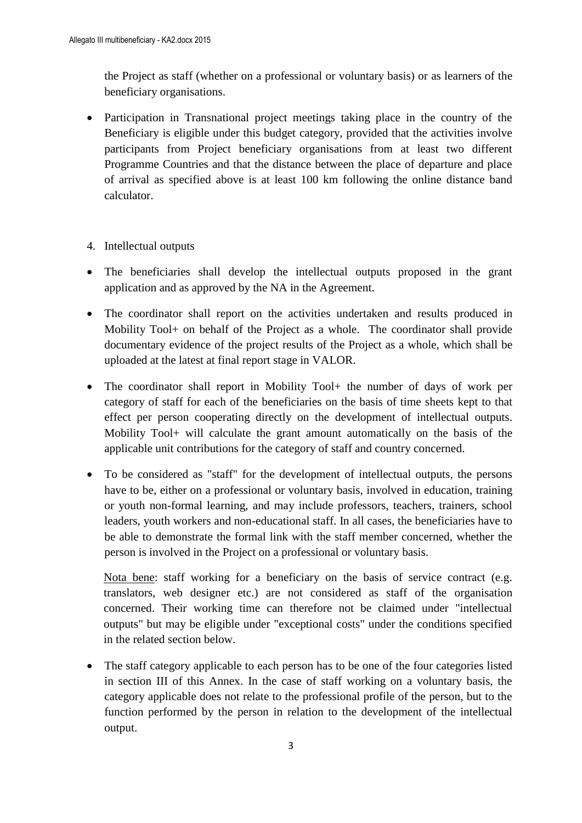the Project as staff (whether on a professional or voluntary basis) or as learners of the beneficiary organisations.

- Participation in Transnational project meetings taking place in the country of the Beneficiary is eligible under this budget category, provided that the activities involve participants from Project beneficiary organisations from at least two different Programme Countries and that the distance between the place of departure and place of arrival as specified above is at least 100 km following the online distance band calculator.
- 4. Intellectual outputs
- The beneficiaries shall develop the intellectual outputs proposed in the grant application and as approved by the NA in the Agreement.
- The coordinator shall report on the activities undertaken and results produced in Mobility Tool+ on behalf of the Project as a whole. The coordinator shall provide documentary evidence of the project results of the Project as a whole, which shall be uploaded at the latest at final report stage in VALOR.
- The coordinator shall report in Mobility Tool+ the number of days of work per category of staff for each of the beneficiaries on the basis of time sheets kept to that effect per person cooperating directly on the development of intellectual outputs. Mobility Tool+ will calculate the grant amount automatically on the basis of the applicable unit contributions for the category of staff and country concerned.
- To be considered as "staff" for the development of intellectual outputs, the persons have to be, either on a professional or voluntary basis, involved in education, training or youth non-formal learning, and may include professors, teachers, trainers, school leaders, youth workers and non-educational staff. In all cases, the beneficiaries have to be able to demonstrate the formal link with the staff member concerned, whether the person is involved in the Project on a professional or voluntary basis.

Nota bene: staff working for a beneficiary on the basis of service contract (e.g. translators, web designer etc.) are not considered as staff of the organisation concerned. Their working time can therefore not be claimed under "intellectual outputs" but may be eligible under "exceptional costs" under the conditions specified in the related section below.

 The staff category applicable to each person has to be one of the four categories listed in section III of this Annex. In the case of staff working on a voluntary basis, the category applicable does not relate to the professional profile of the person, but to the function performed by the person in relation to the development of the intellectual output.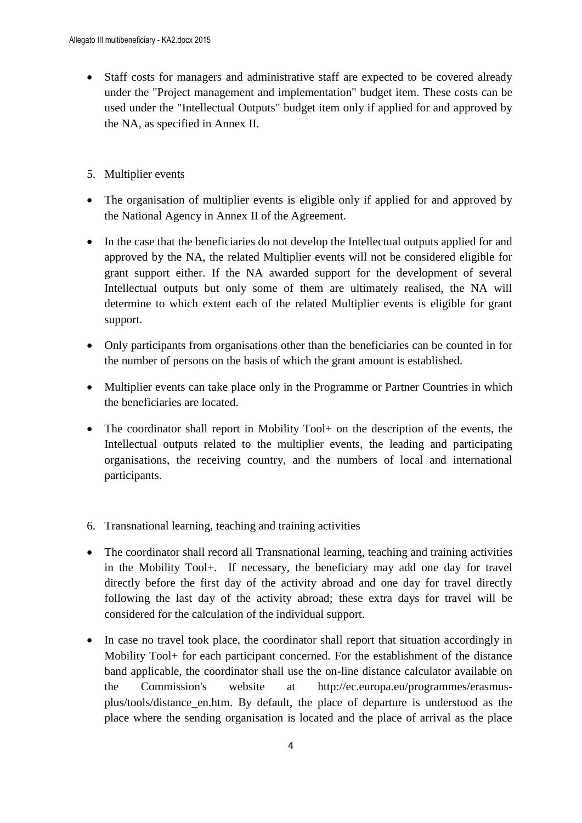- Staff costs for managers and administrative staff are expected to be covered already under the "Project management and implementation" budget item. These costs can be used under the "Intellectual Outputs" budget item only if applied for and approved by the NA, as specified in Annex II.
- 5. Multiplier events
- The organisation of multiplier events is eligible only if applied for and approved by the National Agency in Annex II of the Agreement.
- In the case that the beneficiaries do not develop the Intellectual outputs applied for and approved by the NA, the related Multiplier events will not be considered eligible for grant support either. If the NA awarded support for the development of several Intellectual outputs but only some of them are ultimately realised, the NA will determine to which extent each of the related Multiplier events is eligible for grant support.
- Only participants from organisations other than the beneficiaries can be counted in for the number of persons on the basis of which the grant amount is established.
- Multiplier events can take place only in the Programme or Partner Countries in which the beneficiaries are located.
- The coordinator shall report in Mobility Tool+ on the description of the events, the Intellectual outputs related to the multiplier events, the leading and participating organisations, the receiving country, and the numbers of local and international participants.
- 6. Transnational learning, teaching and training activities
- The coordinator shall record all Transnational learning, teaching and training activities in the Mobility Tool+. If necessary, the beneficiary may add one day for travel directly before the first day of the activity abroad and one day for travel directly following the last day of the activity abroad; these extra days for travel will be considered for the calculation of the individual support.
- In case no travel took place, the coordinator shall report that situation accordingly in Mobility Tool+ for each participant concerned. For the establishment of the distance band applicable, the coordinator shall use the on-line distance calculator available on the Commission's website at http://ec.europa.eu/programmes/erasmusplus/tools/distance\_en.htm. By default, the place of departure is understood as the place where the sending organisation is located and the place of arrival as the place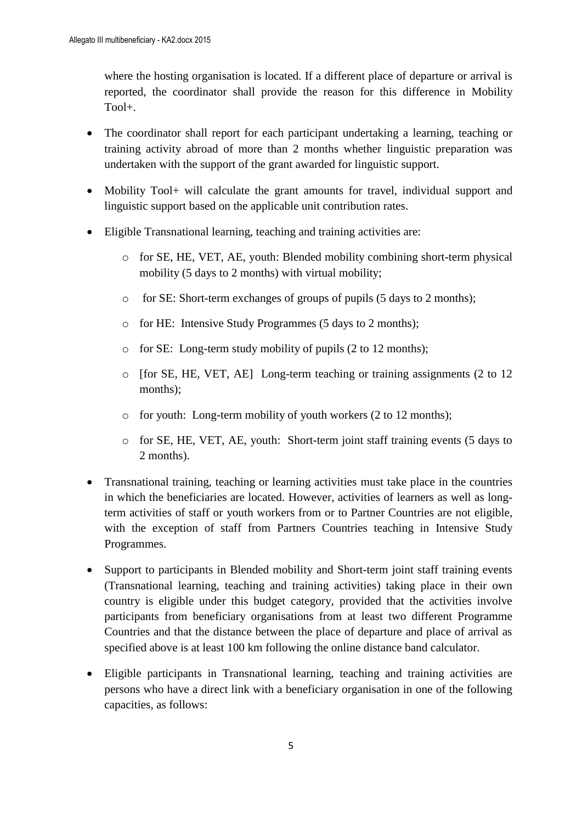where the hosting organisation is located. If a different place of departure or arrival is reported, the coordinator shall provide the reason for this difference in Mobility Tool+.

- The coordinator shall report for each participant undertaking a learning, teaching or training activity abroad of more than 2 months whether linguistic preparation was undertaken with the support of the grant awarded for linguistic support.
- Mobility Tool+ will calculate the grant amounts for travel, individual support and linguistic support based on the applicable unit contribution rates.
- Eligible Transnational learning, teaching and training activities are:
	- o for SE, HE, VET, AE, youth: Blended mobility combining short-term physical mobility (5 days to 2 months) with virtual mobility;
	- o for SE: Short-term exchanges of groups of pupils (5 days to 2 months);
	- o for HE: Intensive Study Programmes (5 days to 2 months);
	- o for SE: Long-term study mobility of pupils (2 to 12 months);
	- o [for SE, HE, VET, AE] Long-term teaching or training assignments (2 to 12 months);
	- o for youth: Long-term mobility of youth workers (2 to 12 months);
	- o for SE, HE, VET, AE, youth: Short-term joint staff training events (5 days to 2 months).
- Transnational training, teaching or learning activities must take place in the countries in which the beneficiaries are located. However, activities of learners as well as longterm activities of staff or youth workers from or to Partner Countries are not eligible, with the exception of staff from Partners Countries teaching in Intensive Study Programmes.
- Support to participants in Blended mobility and Short-term joint staff training events (Transnational learning, teaching and training activities) taking place in their own country is eligible under this budget category, provided that the activities involve participants from beneficiary organisations from at least two different Programme Countries and that the distance between the place of departure and place of arrival as specified above is at least 100 km following the online distance band calculator.
- Eligible participants in Transnational learning, teaching and training activities are persons who have a direct link with a beneficiary organisation in one of the following capacities, as follows: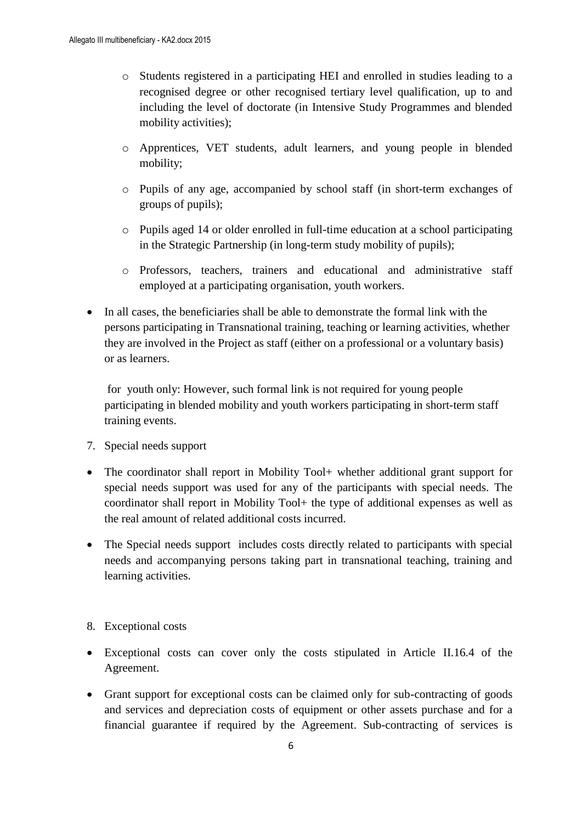- o Students registered in a participating HEI and enrolled in studies leading to a recognised degree or other recognised tertiary level qualification, up to and including the level of doctorate (in Intensive Study Programmes and blended mobility activities);
- o Apprentices, VET students, adult learners, and young people in blended mobility;
- o Pupils of any age, accompanied by school staff (in short-term exchanges of groups of pupils);
- o Pupils aged 14 or older enrolled in full-time education at a school participating in the Strategic Partnership (in long-term study mobility of pupils);
- o Professors, teachers, trainers and educational and administrative staff employed at a participating organisation, youth workers.
- In all cases, the beneficiaries shall be able to demonstrate the formal link with the persons participating in Transnational training, teaching or learning activities, whether they are involved in the Project as staff (either on a professional or a voluntary basis) or as learners.

for youth only: However, such formal link is not required for young people participating in blended mobility and youth workers participating in short-term staff training events.

- 7. Special needs support
- The coordinator shall report in Mobility Tool+ whether additional grant support for special needs support was used for any of the participants with special needs. The coordinator shall report in Mobility Tool+ the type of additional expenses as well as the real amount of related additional costs incurred.
- The Special needs support includes costs directly related to participants with special needs and accompanying persons taking part in transnational teaching, training and learning activities.

#### 8. Exceptional costs

- Exceptional costs can cover only the costs stipulated in Article II.16.4 of the Agreement.
- Grant support for exceptional costs can be claimed only for sub-contracting of goods and services and depreciation costs of equipment or other assets purchase and for a financial guarantee if required by the Agreement. Sub-contracting of services is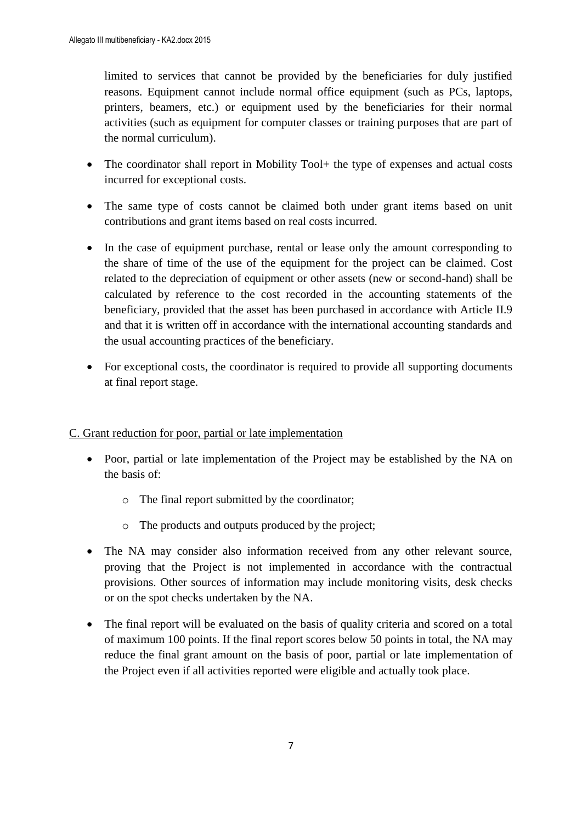limited to services that cannot be provided by the beneficiaries for duly justified reasons. Equipment cannot include normal office equipment (such as PCs, laptops, printers, beamers, etc.) or equipment used by the beneficiaries for their normal activities (such as equipment for computer classes or training purposes that are part of the normal curriculum).

- The coordinator shall report in Mobility Tool + the type of expenses and actual costs incurred for exceptional costs.
- The same type of costs cannot be claimed both under grant items based on unit contributions and grant items based on real costs incurred.
- In the case of equipment purchase, rental or lease only the amount corresponding to the share of time of the use of the equipment for the project can be claimed. Cost related to the depreciation of equipment or other assets (new or second-hand) shall be calculated by reference to the cost recorded in the accounting statements of the beneficiary, provided that the asset has been purchased in accordance with Article II.9 and that it is written off in accordance with the international accounting standards and the usual accounting practices of the beneficiary.
- For exceptional costs, the coordinator is required to provide all supporting documents at final report stage.

# C. Grant reduction for poor, partial or late implementation

- Poor, partial or late implementation of the Project may be established by the NA on the basis of:
	- o The final report submitted by the coordinator;
	- o The products and outputs produced by the project;
- The NA may consider also information received from any other relevant source, proving that the Project is not implemented in accordance with the contractual provisions. Other sources of information may include monitoring visits, desk checks or on the spot checks undertaken by the NA.
- The final report will be evaluated on the basis of quality criteria and scored on a total of maximum 100 points. If the final report scores below 50 points in total, the NA may reduce the final grant amount on the basis of poor, partial or late implementation of the Project even if all activities reported were eligible and actually took place.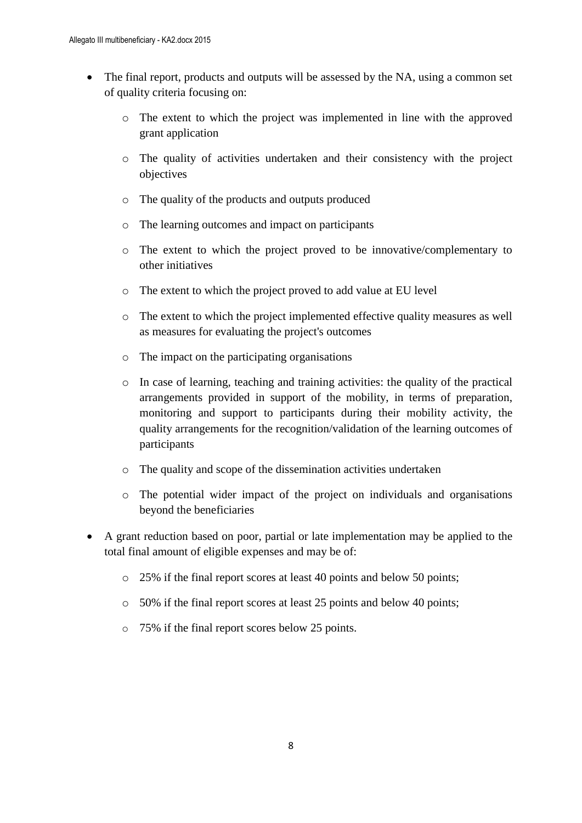- The final report, products and outputs will be assessed by the NA, using a common set of quality criteria focusing on:
	- o The extent to which the project was implemented in line with the approved grant application
	- o The quality of activities undertaken and their consistency with the project objectives
	- o The quality of the products and outputs produced
	- o The learning outcomes and impact on participants
	- o The extent to which the project proved to be innovative/complementary to other initiatives
	- o The extent to which the project proved to add value at EU level
	- o The extent to which the project implemented effective quality measures as well as measures for evaluating the project's outcomes
	- o The impact on the participating organisations
	- o In case of learning, teaching and training activities: the quality of the practical arrangements provided in support of the mobility, in terms of preparation, monitoring and support to participants during their mobility activity, the quality arrangements for the recognition/validation of the learning outcomes of participants
	- o The quality and scope of the dissemination activities undertaken
	- o The potential wider impact of the project on individuals and organisations beyond the beneficiaries
- A grant reduction based on poor, partial or late implementation may be applied to the total final amount of eligible expenses and may be of:
	- o 25% if the final report scores at least 40 points and below 50 points;
	- o 50% if the final report scores at least 25 points and below 40 points;
	- o 75% if the final report scores below 25 points.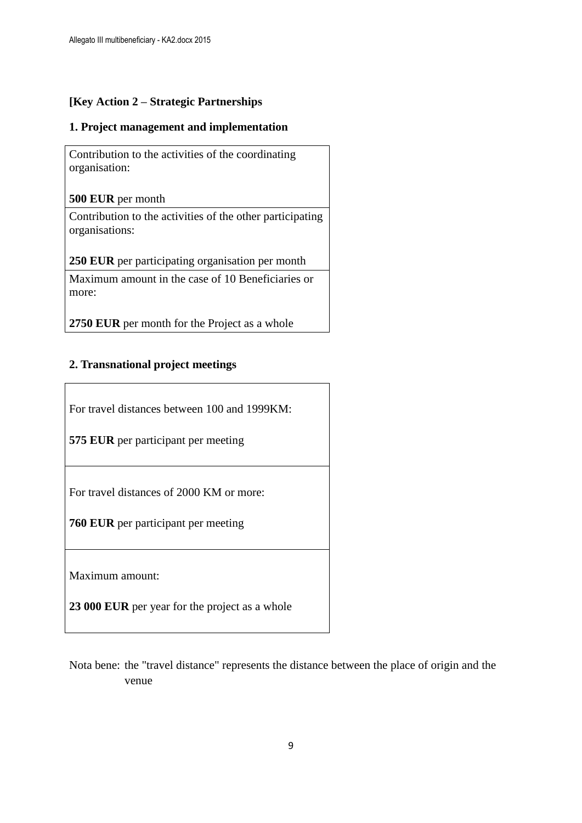## **[Key Action 2 – Strategic Partnerships**

### **1. Project management and implementation**

Contribution to the activities of the coordinating organisation:

**500 EUR** per month

Contribution to the activities of the other participating organisations:

**250 EUR** per participating organisation per month

Maximum amount in the case of 10 Beneficiaries or more:

**2750 EUR** per month for the Project as a whole

## **2. Transnational project meetings**

For travel distances between 100 and 1999KM:

**575 EUR** per participant per meeting

For travel distances of 2000 KM or more:

**760 EUR** per participant per meeting

Maximum amount:

**23 000 EUR** per year for the project as a whole

Nota bene: the "travel distance" represents the distance between the place of origin and the venue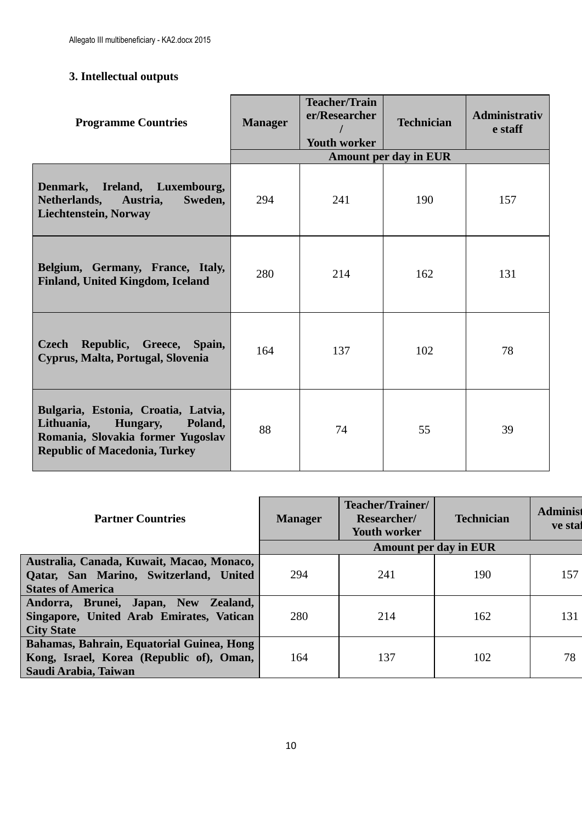# **3. Intellectual outputs**

| <b>Programme Countries</b>                                                                                                                            | <b>Manager</b> | <b>Teacher/Train</b><br>er/Researcher<br><b>Youth worker</b> | <b>Technician</b>            | <b>Administrativ</b><br>e staff |
|-------------------------------------------------------------------------------------------------------------------------------------------------------|----------------|--------------------------------------------------------------|------------------------------|---------------------------------|
|                                                                                                                                                       |                |                                                              | <b>Amount per day in EUR</b> |                                 |
| Denmark, Ireland, Luxembourg,<br>Netherlands, Austria,<br>Sweden,<br>Liechtenstein, Norway                                                            | 294            | 241                                                          | 190                          | 157                             |
| Belgium, Germany, France, Italy,<br>Finland, United Kingdom, Iceland                                                                                  | 280            | 214                                                          | 162                          | 131                             |
| Republic, Greece, Spain,<br><b>Czech</b><br>Cyprus, Malta, Portugal, Slovenia                                                                         | 164            | 137                                                          | 102                          | 78                              |
| Bulgaria, Estonia, Croatia, Latvia,<br>Lithuania,<br>Hungary,<br>Poland,<br>Romania, Slovakia former Yugoslav<br><b>Republic of Macedonia, Turkey</b> | 88             | 74                                                           | 55                           | 39                              |

| <b>Partner Countries</b>                                                                                        | <b>Manager</b>               | Teacher/Trainer/<br><b>Researcher/</b><br><b>Youth worker</b> | <b>Technician</b> | <b>Administ</b><br>ve stat |
|-----------------------------------------------------------------------------------------------------------------|------------------------------|---------------------------------------------------------------|-------------------|----------------------------|
|                                                                                                                 | <b>Amount per day in EUR</b> |                                                               |                   |                            |
| Australia, Canada, Kuwait, Macao, Monaco,<br>Qatar, San Marino, Switzerland, United<br><b>States of America</b> | 294                          | 241                                                           | 190               | 157                        |
| Andorra, Brunei, Japan, New<br>Zealand,<br>Singapore, United Arab Emirates, Vatican<br><b>City State</b>        | 280                          | 214                                                           | 162               | 131                        |
| Bahamas, Bahrain, Equatorial Guinea, Hong<br>Kong, Israel, Korea (Republic of), Oman,<br>Saudi Arabia, Taiwan   | 164                          | 137                                                           | 102               | 78                         |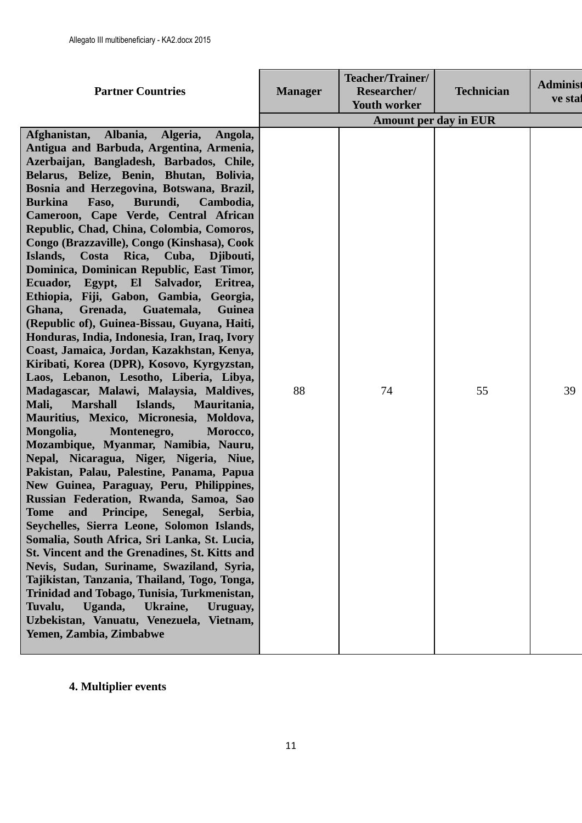| <b>Amount per day in EUR</b><br>Albania,<br>Afghanistan,<br>Algeria,<br>Angola,<br>Antigua and Barbuda, Argentina, Armenia,<br>Azerbaijan, Bangladesh, Barbados, Chile,<br>Belarus, Belize, Benin, Bhutan, Bolivia,<br>Bosnia and Herzegovina, Botswana, Brazil,<br><b>Burkina</b><br>Faso,<br>Burundi,<br>Cambodia,<br>Cameroon, Cape Verde, Central African<br>Republic, Chad, China, Colombia, Comoros,<br>Congo (Brazzaville), Congo (Kinshasa), Cook<br>Islands,<br>Rica, Cuba,<br>Costa<br>Djibouti,<br>Dominica, Dominican Republic, East Timor,<br>Ecuador, Egypt, El Salvador,<br>Eritrea,<br>Ethiopia, Fiji, Gabon, Gambia, Georgia,<br>Guatemala,<br>Ghana,<br>Grenada,<br>Guinea<br>(Republic of), Guinea-Bissau, Guyana, Haiti,<br>Honduras, India, Indonesia, Iran, Iraq, Ivory<br>Coast, Jamaica, Jordan, Kazakhstan, Kenya,<br>Kiribati, Korea (DPR), Kosovo, Kyrgyzstan,<br>Laos, Lebanon, Lesotho, Liberia, Libya, |
|--------------------------------------------------------------------------------------------------------------------------------------------------------------------------------------------------------------------------------------------------------------------------------------------------------------------------------------------------------------------------------------------------------------------------------------------------------------------------------------------------------------------------------------------------------------------------------------------------------------------------------------------------------------------------------------------------------------------------------------------------------------------------------------------------------------------------------------------------------------------------------------------------------------------------------------|
| 88<br>Madagascar, Malawi, Malaysia, Maldives,<br>74<br>55<br>39<br>Mali,<br><b>Marshall</b><br>Islands,<br>Mauritania,<br>Mauritius, Mexico, Micronesia, Moldova,<br>Mongolia,<br>Montenegro,<br>Morocco,<br>Mozambique, Myanmar, Namibia, Nauru,<br>Nepal, Nicaragua, Niger, Nigeria, Niue,<br>Pakistan, Palau, Palestine, Panama, Papua<br>New Guinea, Paraguay, Peru, Philippines,<br>Russian Federation, Rwanda, Samoa, Sao<br>Principe,<br>Senegal,<br>Serbia,<br><b>Tome</b><br>and<br>Seychelles, Sierra Leone, Solomon Islands,<br>Somalia, South Africa, Sri Lanka, St. Lucia,<br>St. Vincent and the Grenadines, St. Kitts and<br>Nevis, Sudan, Suriname, Swaziland, Syria,<br>Tajikistan, Tanzania, Thailand, Togo, Tonga,<br>Trinidad and Tobago, Tunisia, Turkmenistan,<br>Uganda,<br>Tuvalu,<br>Ukraine,<br>Uruguay,<br>Uzbekistan, Vanuatu, Venezuela, Vietnam,<br>Yemen, Zambia, Zimbabwe                            |

# **4. Multiplier events**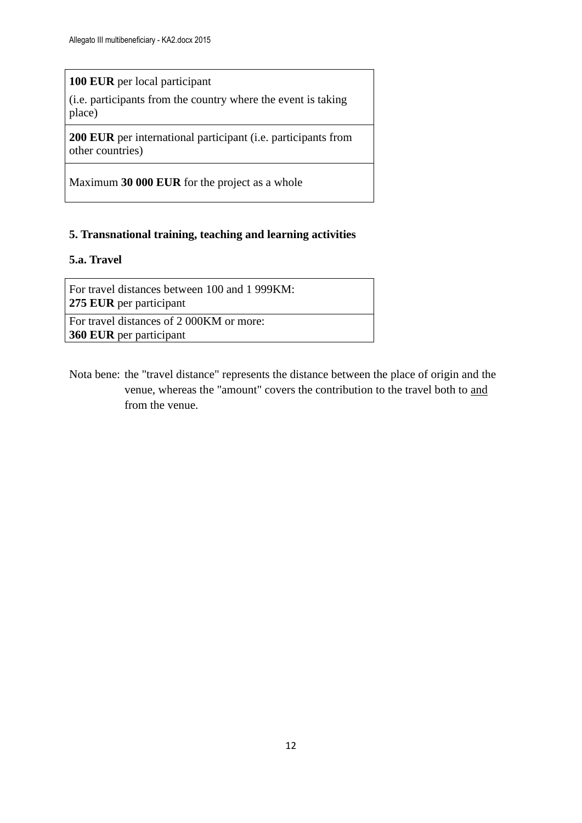## **100 EUR** per local participant

(i.e. participants from the country where the event is taking place)

**200 EUR** per international participant (i.e. participants from other countries)

Maximum **30 000 EUR** for the project as a whole

## **5. Transnational training, teaching and learning activities**

### **5.a. Travel**

For travel distances between 100 and 1 999KM: **275 EUR** per participant

For travel distances of 2 000KM or more: **360 EUR** per participant

Nota bene: the "travel distance" represents the distance between the place of origin and the venue, whereas the "amount" covers the contribution to the travel both to and from the venue.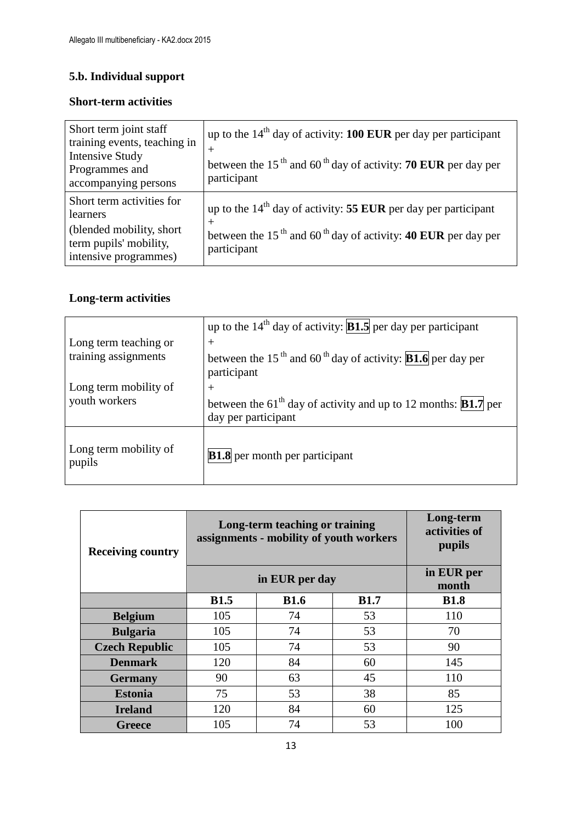# **5.b. Individual support**

## **Short-term activities**

| Short term joint staff<br>training events, teaching in<br><b>Intensive Study</b><br>Programmes and<br>accompanying persons | up to the $14th$ day of activity: <b>100 EUR</b> per day per participant<br>$^+$<br>between the 15 <sup>th</sup> and 60 <sup>th</sup> day of activity: <b>70 EUR</b> per day per<br>participant |
|----------------------------------------------------------------------------------------------------------------------------|-------------------------------------------------------------------------------------------------------------------------------------------------------------------------------------------------|
| Short term activities for<br>learners<br>(blended mobility, short)<br>term pupils' mobility,<br>intensive programmes)      | up to the $14th$ day of activity: 55 EUR per day per participant<br>$^+$<br>between the 15 <sup>th</sup> and 60 <sup>th</sup> day of activity: <b>40 EUR</b> per day per<br>participant         |

# **Long-term activities**

|                                 | up to the $14th$ day of activity: <b>B1.5</b> per day per participant                                     |
|---------------------------------|-----------------------------------------------------------------------------------------------------------|
| Long term teaching or           | $^{+}$                                                                                                    |
| training assignments            | between the 15 <sup>th</sup> and 60 <sup>th</sup> day of activity: <b>B1.6</b> per day per<br>participant |
| Long term mobility of           | $^{+}$                                                                                                    |
| youth workers                   | between the 61 <sup>th</sup> day of activity and up to 12 months: <b>B1.7</b> per<br>day per participant  |
| Long term mobility of<br>pupils | <b>B1.8</b> per month per participant                                                                     |

| <b>Receiving country</b> | Long-term teaching or training<br>assignments - mobility of youth workers | Long-term<br>activities of<br>pupils |             |             |
|--------------------------|---------------------------------------------------------------------------|--------------------------------------|-------------|-------------|
|                          |                                                                           | in EUR per<br>month                  |             |             |
|                          | <b>B1.5</b>                                                               | <b>B1.6</b>                          | <b>B1.7</b> | <b>B1.8</b> |
| <b>Belgium</b>           | 105                                                                       | 74                                   | 53          | 110         |
| <b>Bulgaria</b>          | 105                                                                       | 74                                   | 53          | 70          |
| <b>Czech Republic</b>    | 105                                                                       | 74                                   | 53          | 90          |
| <b>Denmark</b>           | 120                                                                       | 84                                   | 60          | 145         |
| <b>Germany</b>           | 90                                                                        | 63                                   | 45          | 110         |
| <b>Estonia</b>           | 75                                                                        | 53                                   | 38          | 85          |
| <b>Ireland</b>           | 120                                                                       | 84                                   | 60          | 125         |
| <b>Greece</b>            | 105                                                                       | 74                                   | 53          | 100         |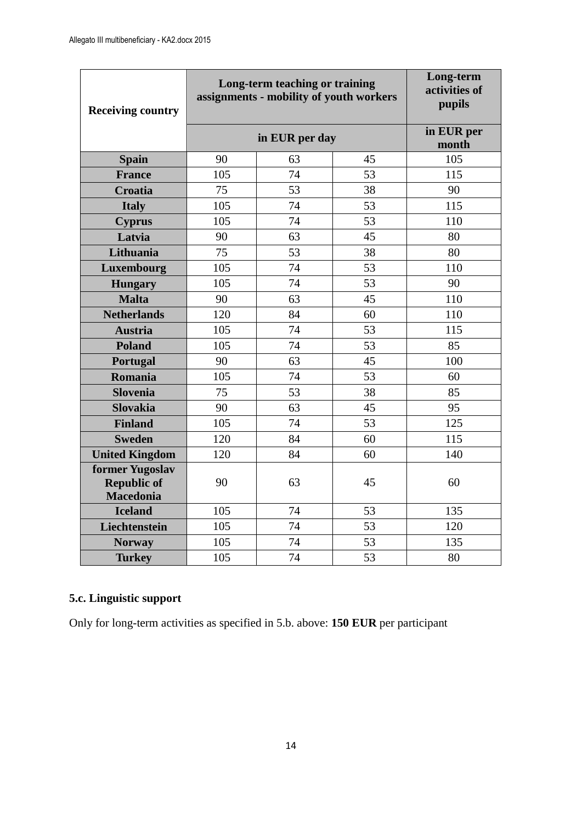| <b>Receiving country</b>                                  | Long-term teaching or training<br>assignments - mobility of youth workers |                     |    | Long-term<br>activities of<br>pupils |  |
|-----------------------------------------------------------|---------------------------------------------------------------------------|---------------------|----|--------------------------------------|--|
|                                                           | in EUR per day                                                            | in EUR per<br>month |    |                                      |  |
| <b>Spain</b>                                              | 90                                                                        | 63                  | 45 | 105                                  |  |
| <b>France</b>                                             | 105                                                                       | 74                  | 53 | 115                                  |  |
| Croatia                                                   | 75                                                                        | 53                  | 38 | 90                                   |  |
| <b>Italy</b>                                              | 105                                                                       | 74                  | 53 | 115                                  |  |
| <b>Cyprus</b>                                             | 105                                                                       | 74                  | 53 | 110                                  |  |
| Latvia                                                    | 90                                                                        | 63                  | 45 | 80                                   |  |
| Lithuania                                                 | 75                                                                        | 53                  | 38 | 80                                   |  |
| Luxembourg                                                | 105                                                                       | 74                  | 53 | 110                                  |  |
| <b>Hungary</b>                                            | 105                                                                       | 74                  | 53 | 90                                   |  |
| <b>Malta</b>                                              | 90                                                                        | 63                  | 45 | 110                                  |  |
| <b>Netherlands</b>                                        | 120                                                                       | 84                  | 60 | 110                                  |  |
| <b>Austria</b>                                            | 105                                                                       | 74                  | 53 | 115                                  |  |
| <b>Poland</b>                                             | 105                                                                       | 74                  | 53 | 85                                   |  |
| Portugal                                                  | 90                                                                        | 63                  | 45 | 100                                  |  |
| Romania                                                   | 105                                                                       | 74                  | 53 | 60                                   |  |
| <b>Slovenia</b>                                           | 75                                                                        | 53                  | 38 | 85                                   |  |
| <b>Slovakia</b>                                           | 90                                                                        | 63                  | 45 | 95                                   |  |
| <b>Finland</b>                                            | 105                                                                       | 74                  | 53 | 125                                  |  |
| <b>Sweden</b>                                             | 120                                                                       | 84                  | 60 | 115                                  |  |
| <b>United Kingdom</b>                                     | 120                                                                       | 84                  | 60 | 140                                  |  |
| former Yugoslav<br><b>Republic of</b><br><b>Macedonia</b> | 90                                                                        | 63                  | 45 | 60                                   |  |
| <b>Iceland</b>                                            | 105                                                                       | 74                  | 53 | 135                                  |  |
| Liechtenstein                                             | 105                                                                       | 74                  | 53 | 120                                  |  |
| <b>Norway</b>                                             | 105                                                                       | 74                  | 53 | 135                                  |  |
| <b>Turkey</b>                                             | 105                                                                       | 74                  | 53 | 80                                   |  |

# **5.c. Linguistic support**

Only for long-term activities as specified in 5.b. above: **150 EUR** per participant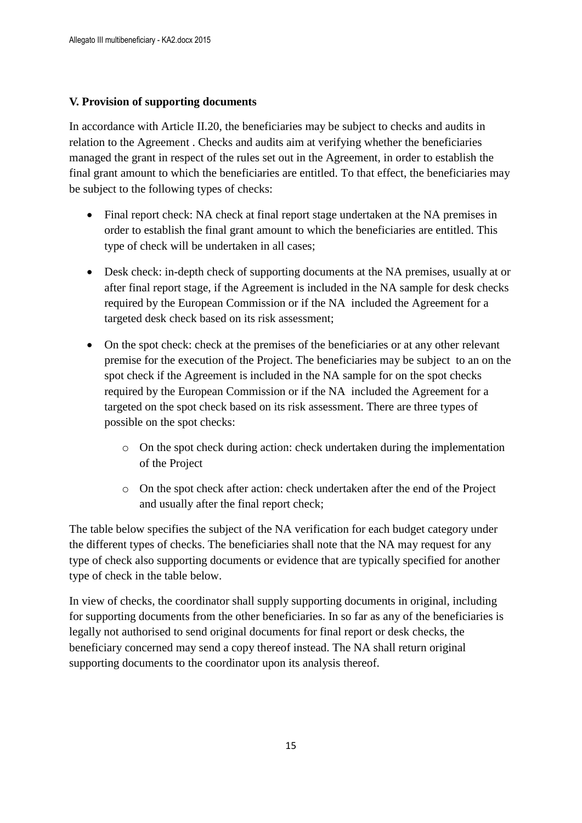### **V. Provision of supporting documents**

In accordance with Article II.20, the beneficiaries may be subject to checks and audits in relation to the Agreement . Checks and audits aim at verifying whether the beneficiaries managed the grant in respect of the rules set out in the Agreement, in order to establish the final grant amount to which the beneficiaries are entitled. To that effect, the beneficiaries may be subject to the following types of checks:

- Final report check: NA check at final report stage undertaken at the NA premises in order to establish the final grant amount to which the beneficiaries are entitled. This type of check will be undertaken in all cases;
- Desk check: in-depth check of supporting documents at the NA premises, usually at or after final report stage, if the Agreement is included in the NA sample for desk checks required by the European Commission or if the NA included the Agreement for a targeted desk check based on its risk assessment;
- On the spot check: check at the premises of the beneficiaries or at any other relevant premise for the execution of the Project. The beneficiaries may be subject to an on the spot check if the Agreement is included in the NA sample for on the spot checks required by the European Commission or if the NA included the Agreement for a targeted on the spot check based on its risk assessment. There are three types of possible on the spot checks:
	- o On the spot check during action: check undertaken during the implementation of the Project
	- o On the spot check after action: check undertaken after the end of the Project and usually after the final report check;

The table below specifies the subject of the NA verification for each budget category under the different types of checks. The beneficiaries shall note that the NA may request for any type of check also supporting documents or evidence that are typically specified for another type of check in the table below.

In view of checks, the coordinator shall supply supporting documents in original, including for supporting documents from the other beneficiaries. In so far as any of the beneficiaries is legally not authorised to send original documents for final report or desk checks, the beneficiary concerned may send a copy thereof instead. The NA shall return original supporting documents to the coordinator upon its analysis thereof.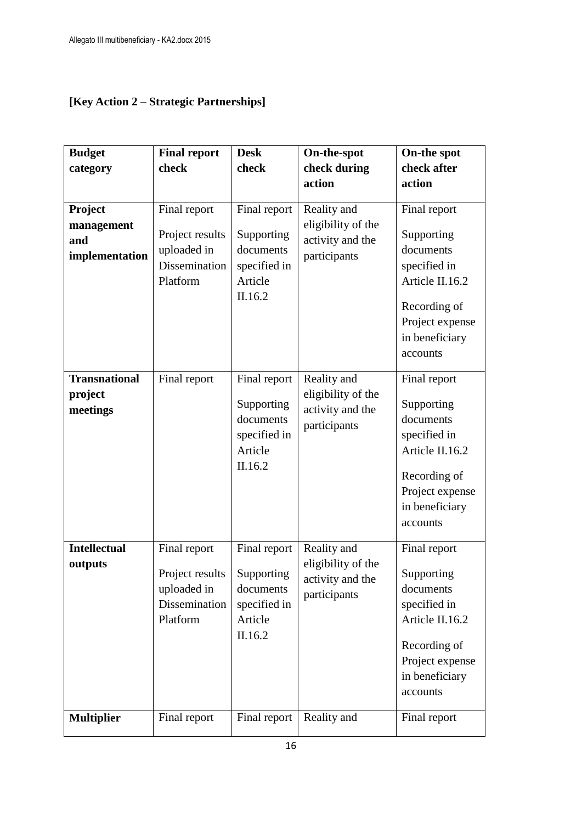# **[Key Action 2 – Strategic Partnerships]**

| <b>Budget</b>                                  | <b>Final report</b>                                                         | <b>Desk</b>                                                                   | On-the-spot                                                           | On-the spot                                                                                                                                 |
|------------------------------------------------|-----------------------------------------------------------------------------|-------------------------------------------------------------------------------|-----------------------------------------------------------------------|---------------------------------------------------------------------------------------------------------------------------------------------|
| category                                       | check                                                                       | check                                                                         | check during                                                          | check after                                                                                                                                 |
|                                                |                                                                             |                                                                               | action                                                                | action                                                                                                                                      |
| Project<br>management<br>and<br>implementation | Final report<br>Project results<br>uploaded in<br>Dissemination<br>Platform | Final report<br>Supporting<br>documents<br>specified in<br>Article<br>II.16.2 | Reality and<br>eligibility of the<br>activity and the<br>participants | Final report<br>Supporting<br>documents<br>specified in<br>Article II.16.2<br>Recording of<br>Project expense<br>in beneficiary<br>accounts |
| <b>Transnational</b><br>project<br>meetings    | Final report                                                                | Final report<br>Supporting<br>documents<br>specified in<br>Article<br>II.16.2 | Reality and<br>eligibility of the<br>activity and the<br>participants | Final report<br>Supporting<br>documents<br>specified in<br>Article II.16.2<br>Recording of<br>Project expense<br>in beneficiary<br>accounts |
| <b>Intellectual</b><br>outputs                 | Final report<br>Project results<br>uploaded in<br>Dissemination<br>Platform | Final report<br>Supporting<br>documents<br>specified in<br>Article<br>II.16.2 | Reality and<br>eligibility of the<br>activity and the<br>participants | Final report<br>Supporting<br>documents<br>specified in<br>Article II.16.2<br>Recording of<br>Project expense<br>in beneficiary<br>accounts |
| <b>Multiplier</b>                              | Final report                                                                | Final report                                                                  | Reality and                                                           | Final report                                                                                                                                |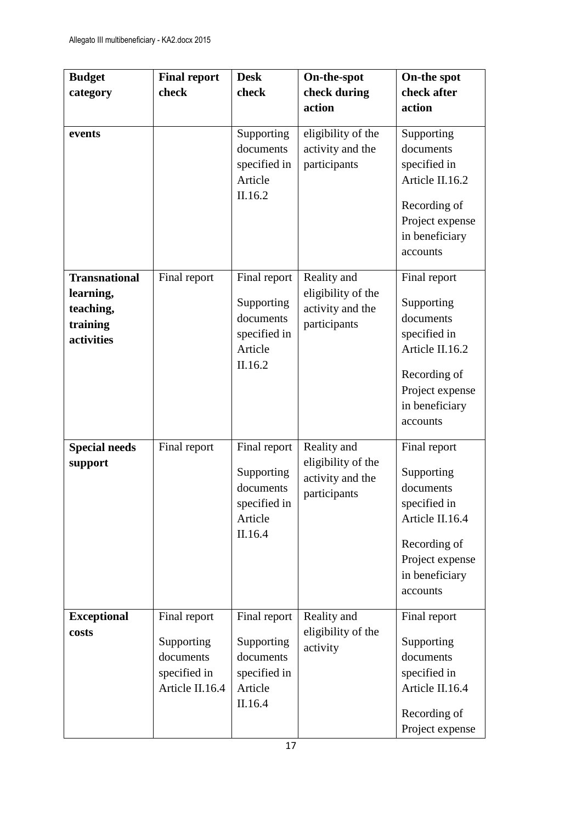| <b>Budget</b>        | <b>Final report</b> | <b>Desk</b>             | On-the-spot                            | On-the spot             |
|----------------------|---------------------|-------------------------|----------------------------------------|-------------------------|
| category             | check               | check                   | check during                           | check after             |
|                      |                     |                         | action                                 | action                  |
|                      |                     |                         |                                        |                         |
| events               |                     | Supporting<br>documents | eligibility of the<br>activity and the | Supporting<br>documents |
|                      |                     | specified in            | participants                           | specified in            |
|                      |                     | Article                 |                                        | Article II.16.2         |
|                      |                     | II.16.2                 |                                        |                         |
|                      |                     |                         |                                        | Recording of            |
|                      |                     |                         |                                        | Project expense         |
|                      |                     |                         |                                        | in beneficiary          |
|                      |                     |                         |                                        | accounts                |
| <b>Transnational</b> | Final report        | Final report            | Reality and                            | Final report            |
| learning,            |                     |                         | eligibility of the                     |                         |
| teaching,            |                     | Supporting              | activity and the                       | Supporting              |
| training             |                     | documents               | participants                           | documents               |
| activities           |                     | specified in            |                                        | specified in            |
|                      |                     | Article                 |                                        | Article II.16.2         |
|                      |                     | II.16.2                 |                                        | Recording of            |
|                      |                     |                         |                                        | Project expense         |
|                      |                     |                         |                                        | in beneficiary          |
|                      |                     |                         |                                        | accounts                |
|                      |                     |                         |                                        |                         |
| <b>Special needs</b> | Final report        | Final report            | Reality and                            | Final report            |
| support              |                     | Supporting              | eligibility of the                     | Supporting              |
|                      |                     | documents               | activity and the                       | documents               |
|                      |                     | specified in            | participants                           | specified in            |
|                      |                     | Article                 |                                        | Article II.16.4         |
|                      |                     | II.16.4                 |                                        |                         |
|                      |                     |                         |                                        | Recording of            |
|                      |                     |                         |                                        | Project expense         |
|                      |                     |                         |                                        | in beneficiary          |
|                      |                     |                         |                                        | accounts                |
| <b>Exceptional</b>   | Final report        | Final report            | Reality and                            | Final report            |
| costs                |                     |                         | eligibility of the                     |                         |
|                      | Supporting          | Supporting              | activity                               | Supporting              |
|                      | documents           | documents               |                                        | documents               |
|                      | specified in        | specified in            |                                        | specified in            |
|                      | Article II.16.4     | Article<br>II.16.4      |                                        | Article II.16.4         |
|                      |                     |                         |                                        | Recording of            |
|                      |                     |                         |                                        | Project expense         |